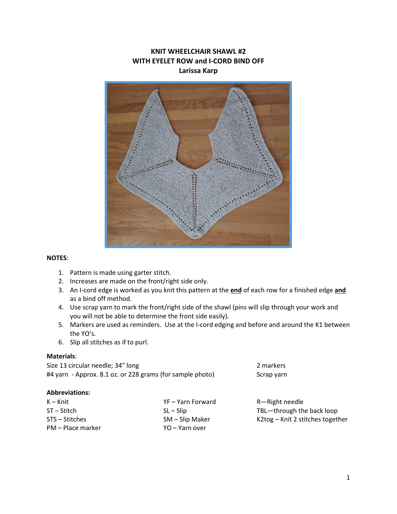# **KNIT WHEELCHAIR SHAWL #2 WITH EYELET ROW and I-CORD BIND OFF Larissa Karp**



## **NOTES**:

- 1. Pattern is made using garter stitch.
- 2. Increases are made on the front/right side only.
- 3. An I-cord edge is worked as you knit this pattern at the **end** of each row for a finished edge **and** as a bind off method.
- 4. Use scrap yarn to mark the front/right side of the shawl (pins will slip through your work and you will not be able to determine the front side easily).
- 5. Markers are used as reminders. Use at the I-cord edging and before and around the K1 between the YO's.
- 6. Slip all stitches as if to purl.

#### **Materials**:

Size 13 circular needle; 34" long 2 markers #4 yarn - Approx. 8.1 oz. or 228 grams (for sample photo) Scrap yarn

#### **Abbreviations:**

| $K - Knit$        | YF – Yarn Forward | R—Right needle                   |
|-------------------|-------------------|----------------------------------|
| $ST - Stitch$     | $SL - Slip$       | TBL-through the back loop        |
| STS – Stitches    | $SM - Slip$ Maker | K2tog – Knit 2 stitches together |
| PM – Place marker | YO – Yarn over    |                                  |